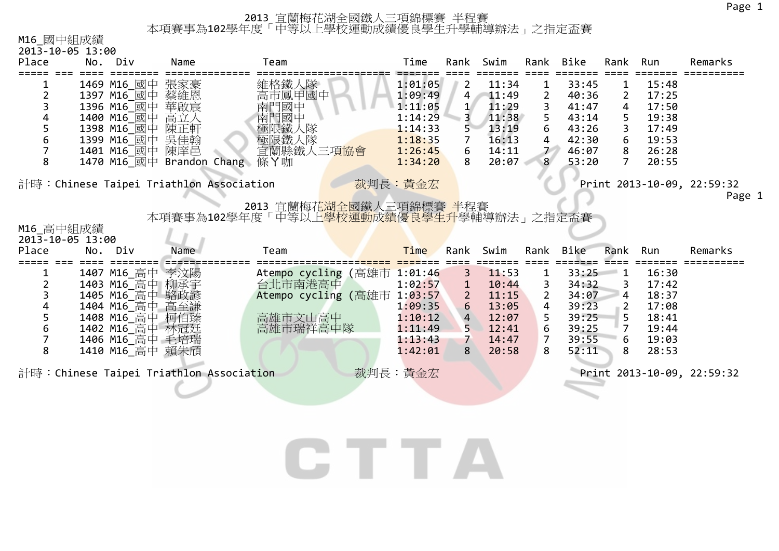1

## 2013 宜蘭梅花湖全國鐵人三項錦標賽 半程賽 本項賽事為102學年度「中等以上學校運動成績優良學生升學輔導辦法」之指定盃賽

M16\_國中組成績

| 2013-10-05 13:00                             |                 |                                                                                                                                                      |                                         |                                                                                              |                                                                                              |                                                                                        |                                                                                         |                                                                                               |                                                                                    |                                                                                             |                                                                      |                            |
|----------------------------------------------|-----------------|------------------------------------------------------------------------------------------------------------------------------------------------------|-----------------------------------------|----------------------------------------------------------------------------------------------|----------------------------------------------------------------------------------------------|----------------------------------------------------------------------------------------|-----------------------------------------------------------------------------------------|-----------------------------------------------------------------------------------------------|------------------------------------------------------------------------------------|---------------------------------------------------------------------------------------------|----------------------------------------------------------------------|----------------------------|
| Place                                        |                 | No. Div                                                                                                                                              | Name                                    | Team                                                                                         | Time                                                                                         |                                                                                        | Rank Swim                                                                               |                                                                                               | Rank Bike                                                                          | Rank Run                                                                                    |                                                                      | Remarks                    |
| ===== ===<br>2<br>3<br>6<br>8                | $=$ $=$ $=$ $=$ | 1469 M16_國中 張家豪<br>1397 M16 國中 蔡維恩<br>1396 M16 國中 華啟宸<br>1400 M16 國中 高立人<br>1398 M16 國中 陳正軒<br>1399 M16 國中 吳佳翰<br>1401 M16_國中 陳庠邑                    | 1470 M16 國中 Brandon Chang 條丫咖           | 維格鐵人隊<br>高市鳳甲國中<br>南門國中<br>南門國中<br>極限鐵人隊<br>極限鐵人隊<br>宜蘭縣鐵人三項協會                               | 드프트드<br>1:01:05<br>1:09:49<br>1:11:05<br>1:14:29<br>1:14:33<br>1:18:35<br>1:26:45<br>1:34:20 | 2<br>4<br>$\mathbf{1}$<br>$\overline{\mathbf{3}}$<br>5<br>$\overline{7}$<br>6<br>8     | $=$ $=$ $=$ $=$<br>11:34<br>11:49<br>11:29<br>11:38<br>13:19<br>16:13<br>14:11<br>20:07 | $=$ $=$ $=$ $=$<br>1<br>$\overline{2}$<br>3<br>5<br>6<br>4<br>$\mathcal{F}$<br>8 <sup>1</sup> | ===== ====<br>33:45<br>40:36<br>41:47<br>43:14<br>43:26<br>42:30<br>46:07<br>53:20 | $\overline{2}$<br>4<br>5<br>3<br>6<br>8<br>$\overline{7}$                                   | 15:48<br>17:25<br>17:50<br>19:38<br>17:49<br>19:53<br>26:28<br>20:55 |                            |
|                                              |                 |                                                                                                                                                      | 計時:Chinese Taipei Triathlon Association |                                                                                              | 裁判長:黃金宏                                                                                      |                                                                                        |                                                                                         |                                                                                               |                                                                                    |                                                                                             |                                                                      | Print 2013-10-09, 22:59:32 |
|                                              |                 |                                                                                                                                                      |                                         | 2013 宜蘭梅花湖全國鐵人三項錦標賽 半程賽                                                                      |                                                                                              |                                                                                        |                                                                                         |                                                                                               |                                                                                    |                                                                                             |                                                                      | Page                       |
| M16_高中組成績<br>2013-10-05 13:00<br>Place       |                 | No. Div                                                                                                                                              | Name                                    | 本項賽事為102學年度「中等以上 <mark>學校運動成績優良學生升</mark> 學輔導辦法」之指定盃賽<br>Team                                | Time                                                                                         |                                                                                        | Rank Swim                                                                               |                                                                                               | Rank Bike                                                                          | Rank                                                                                        | Run                                                                  | Remarks                    |
| ===== ===                                    |                 | ==== ========                                                                                                                                        | ==============                          |                                                                                              |                                                                                              |                                                                                        | =====                                                                                   |                                                                                               | =≡≡≡=                                                                              |                                                                                             |                                                                      |                            |
| 1<br>$\overline{2}$<br>3<br>4<br>5<br>6<br>8 |                 | 1407 M16_高中 李汶陽<br>1403 M16_高中 柳承宇<br>1405 M16_高中 駱政諺<br>1404 M16_高中 高至謙<br>1408 M16_高中 柯伯臻<br>1402 M16_高中 林冠廷<br>1406 M16_高中 毛培瑞<br>1410 M16_高中 賴朱頎 |                                         | Atempo cycling (高雄市 1:01:46<br>台北市南港高中<br>Atempo cycling (高雄市 1:03:57<br>高雄市文山高中<br>高雄市瑞祥高中隊 | 1:02:57<br>1:09:35<br>1:10:12<br>1:11:49<br>1:13:43<br>1:42:01                               | 3<br>$\mathbf{1}$<br>$\overline{2}$<br>6<br>$\overline{4}$<br>5<br>$\overline{7}$<br>8 | 11:53<br>10:44<br>11:15<br>13:05<br>12:07<br>12:41<br>14:47<br>20:58                    | 1<br>3<br>$\overline{2}$<br>4<br>5<br>6<br>$\overline{7}$<br>8                                | 33:25<br>34:32<br>34:07<br>39:23<br>39:25<br>39:25<br>39:55<br>52:11               | $-1$<br>3<br>$\overline{4}$<br>$\overline{2}$<br>$\overline{5}$<br>$\overline{7}$<br>6<br>8 | 16:30<br>17:42<br>18:37<br>17:08<br>18:41<br>19:44<br>19:03<br>28:53 |                            |
|                                              |                 |                                                                                                                                                      | 計時:Chinese Taipei Triathlon Association |                                                                                              | 裁判長:黃金宏                                                                                      |                                                                                        |                                                                                         |                                                                                               |                                                                                    |                                                                                             |                                                                      | Print 2013-10-09, 22:59:32 |